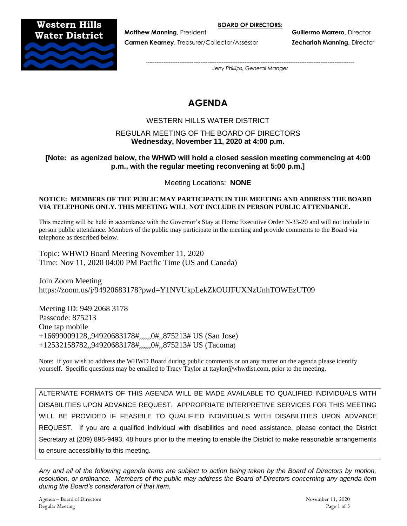**BOARD OF DIRECTORS:**

## **Western Hills Water District**



**Carmen Kearney**, Treasurer/Collector/Assessor **Zechariah Manning,** Director

**Matthew Manning**, President **Guillermo Marrero,** Director

*---------------------------------------------------------------------------------------------------------------------- Jerry Phillips, General Manger*

# **AGENDA**

## WESTERN HILLS WATER DISTRICT

## REGULAR MEETING OF THE BOARD OF DIRECTORS **Wednesday, November 11, 2020 at 4:00 p.m.**

## **[Note: as agenized below, the WHWD will hold a closed session meeting commencing at 4:00 p.m., with the regular meeting reconvening at 5:00 p.m.]**

Meeting Locations: **NONE**

#### **NOTICE: MEMBERS OF THE PUBLIC MAY PARTICIPATE IN THE MEETING AND ADDRESS THE BOARD VIA TELEPHONE ONLY. THIS MEETING WILL NOT INCLUDE IN PERSON PUBLIC ATTENDANCE.**

This meeting will be held in accordance with the Governor's Stay at Home Executive Order N-33-20 and will not include in person public attendance. Members of the public may participate in the meeting and provide comments to the Board via telephone as described below.

Topic: WHWD Board Meeting November 11, 2020 Time: Nov 11, 2020 04:00 PM Pacific Time (US and Canada)

Join Zoom Meeting https://zoom.us/j/94920683178?pwd=Y1NVUkpLekZkOUJFUXNzUnhTOWEzUT09

Meeting ID: 949 2068 3178 Passcode: 875213 One tap mobile +16699009128,,94920683178#,,,,,,0#,,875213# US (San Jose) +12532158782,,94920683178#,,,,,,0#,,875213# US (Tacoma)

Note: if you wish to address the WHWD Board during public comments or on any matter on the agenda please identify yourself. Specific questions may be emailed to Tracy Taylor at ttaylor@whwdist.com, prior to the meeting.

ALTERNATE FORMATS OF THIS AGENDA WILL BE MADE AVAILABLE TO QUALIFIED INDIVIDUALS WITH DISABILITIES UPON ADVANCE REQUEST. APPROPRIATE INTERPRETIVE SERVICES FOR THIS MEETING WILL BE PROVIDED IF FEASIBLE TO QUALIFIED INDIVIDUALS WITH DISABILITIES UPON ADVANCE REQUEST. If you are a qualified individual with disabilities and need assistance, please contact the District Secretary at (209) 895-9493, 48 hours prior to the meeting to enable the District to make reasonable arrangements to ensure accessibility to this meeting.

*Any and all of the following agenda items are subject to action being taken by the Board of Directors by motion, resolution, or ordinance. Members of the public may address the Board of Directors concerning any agenda item during the Board's consideration of that item.*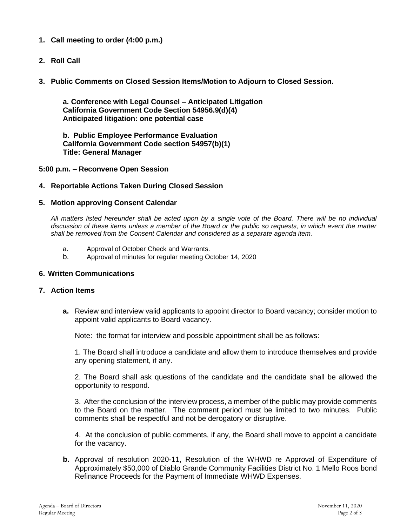- **1. Call meeting to order (4:00 p.m.)**
- **2. Roll Call**
- **3. Public Comments on Closed Session Items/Motion to Adjourn to Closed Session.**

**a. Conference with Legal Counsel – Anticipated Litigation California Government Code Section 54956.9(d)(4) Anticipated litigation: one potential case**

**b. Public Employee Performance Evaluation California Government Code section 54957(b)(1) Title: General Manager**

#### **5:00 p.m. – Reconvene Open Session**

#### **4. Reportable Actions Taken During Closed Session**

#### **5. Motion approving Consent Calendar**

*All matters listed hereunder shall be acted upon by a single vote of the Board. There will be no individual discussion of these items unless a member of the Board or the public so requests, in which event the matter shall be removed from the Consent Calendar and considered as a separate agenda item.*

- a. Approval of October Check and Warrants.
- b. Approval of minutes for regular meeting October 14, 2020

#### **6. Written Communications**

#### **7. Action Items**

**a.** Review and interview valid applicants to appoint director to Board vacancy; consider motion to appoint valid applicants to Board vacancy.

Note: the format for interview and possible appointment shall be as follows:

1. The Board shall introduce a candidate and allow them to introduce themselves and provide any opening statement, if any.

2. The Board shall ask questions of the candidate and the candidate shall be allowed the opportunity to respond.

3. After the conclusion of the interview process, a member of the public may provide comments to the Board on the matter. The comment period must be limited to two minutes. Public comments shall be respectful and not be derogatory or disruptive.

4. At the conclusion of public comments, if any, the Board shall move to appoint a candidate for the vacancy.

**b.** Approval of resolution 2020-11, Resolution of the WHWD re Approval of Expenditure of Approximately \$50,000 of Diablo Grande Community Facilities District No. 1 Mello Roos bond Refinance Proceeds for the Payment of Immediate WHWD Expenses.